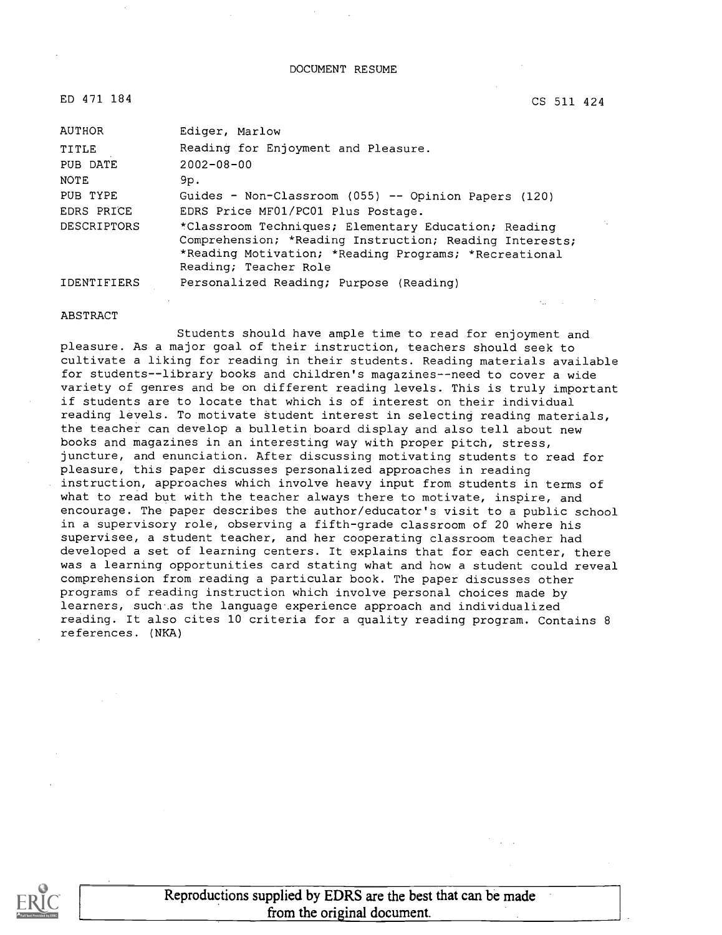ED 471 184

CS 511 424

| AUTHOR             | Ediger, Marlow                                                                                                                                                                                    |
|--------------------|---------------------------------------------------------------------------------------------------------------------------------------------------------------------------------------------------|
| TITLE              | Reading for Enjoyment and Pleasure.                                                                                                                                                               |
| PUB DATE           | $2002 - 08 - 00$                                                                                                                                                                                  |
| <b>NOTE</b>        | 9p.                                                                                                                                                                                               |
| PUB TYPE           | Guides - Non-Classroom (055) -- Opinion Papers (120)                                                                                                                                              |
| EDRS PRICE         | EDRS Price MF01/PC01 Plus Postage.                                                                                                                                                                |
| <b>DESCRIPTORS</b> | *Classroom Techniques; Elementary Education; Reading<br>Comprehension; *Reading Instruction; Reading Interests;<br>*Reading Motivation; *Reading Programs; *Recreational<br>Reading; Teacher Role |
| <b>IDENTIFIERS</b> | Personalized Reading; Purpose (Reading)                                                                                                                                                           |

#### ABSTRACT

Students should have ample time to read for enjoyment and pleasure. As a major goal of their instruction, teachers should seek to cultivate a liking for reading in their students. Reading materials available for students--library books and children's magazines--need to cover a wide variety of genres and be on different reading levels. This is truly important if students are to locate that which is of interest on their individual reading levels. To motivate student interest in selecting reading materials, the teacher can develop a bulletin board display and also tell about new books and magazines in an interesting way with proper pitch, stress, juncture, and enunciation. After discussing motivating students to read for pleasure, this paper discusses personalized approaches in reading instruction, approaches which involve heavy input from students in terms of what to read but with the teacher always there to motivate, inspire, and encourage. The paper describes the author/educator's visit to a public school in a supervisory role, observing a fifth-grade classroom of 20 where his supervisee, a student teacher, and her cooperating classroom teacher had developed a set of learning centers. It explains that for each center, there was a learning opportunities card stating what and how a student could reveal comprehension from reading a particular book. The paper discusses other programs of reading instruction which involve personal choices made by learners, such as the language experience approach and individualized reading. It also cites 10 criteria for a quality reading program. Contains 8 references. (NKA)

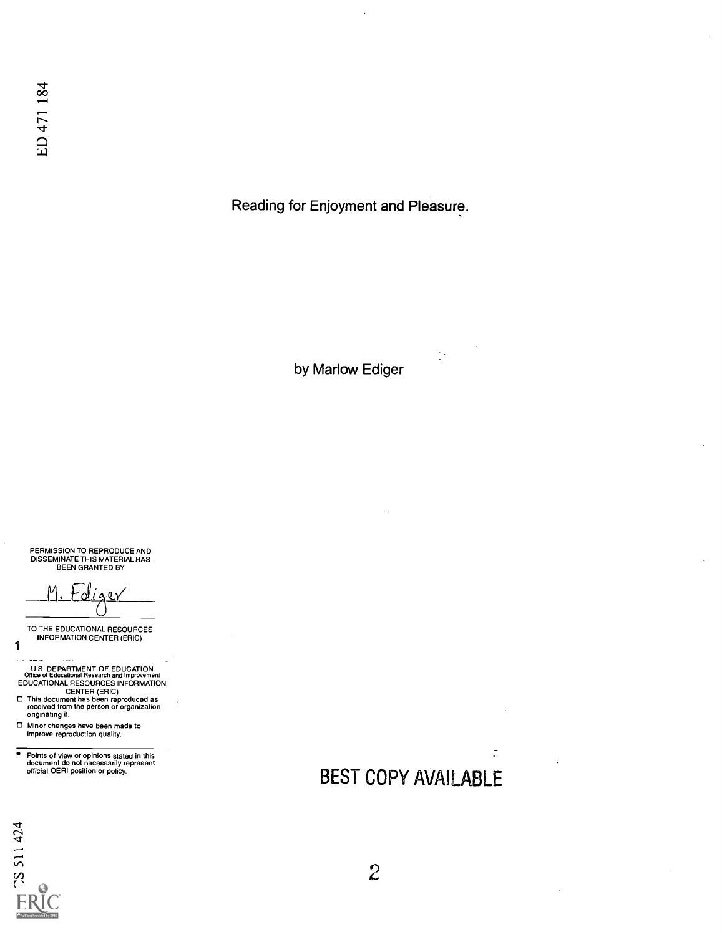Reading for Enjoyment and Pleasure.

by Marlow Ediger

 $\frac{1}{2}$  .

PERMISSION TO REPRODUCE AND DISSEMINATE THIS MATERIAL HAS BEEN GRANTED BY

Ediger

TO THE EDUCATIONAL RESOURCES INFORMATION CENTER (ERIC)

- U.S. DEPARTMENT OF EDUCATION<br>
CHICE of Educational Research and Improvement<br>
EDUCATIONAL RESOURCES INFORMATION<br>
CENTER (ERIC)<br>
This document has been reproduced as<br>
received from the person or organization<br>
originating it.
- 
- Minor changes have been made to improve reproduction quality.

Points of view or opinions stated in this document do not necessarily represent official OERI position or policy.

# BEST COPY AVAILABLE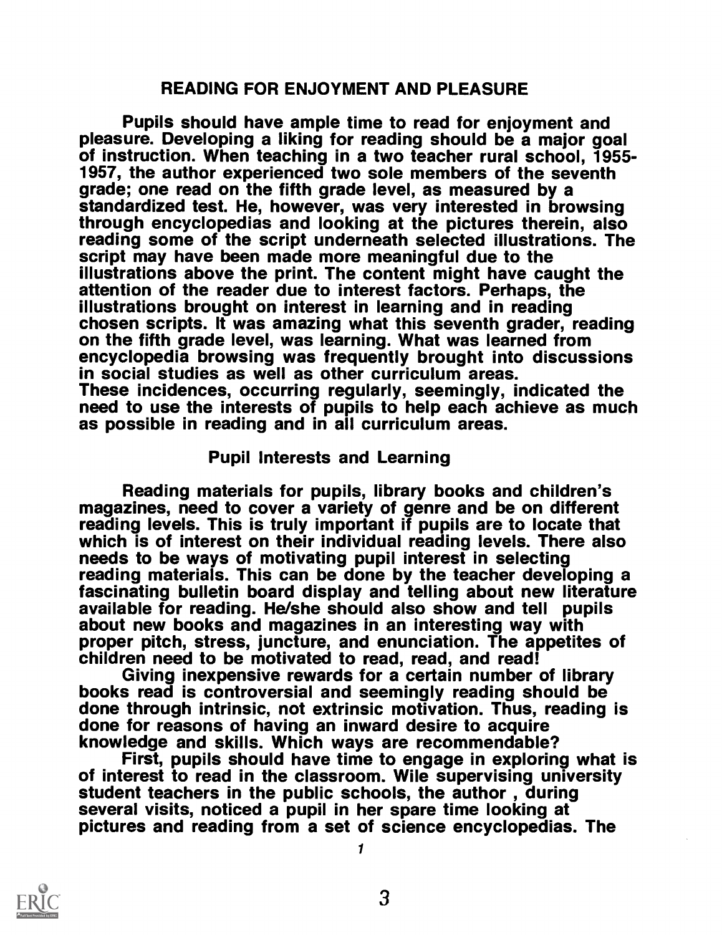### READING FOR ENJOYMENT AND PLEASURE

Pupils should have ample time to read for enjoyment and<br>pleasure. Developing a liking for reading should be a major goal of instruction. When teaching in a two teacher rural school, 1955-<br>1957, the author experienced two sole members of the seventh grade; one read on the fifth grade level, as measured by a standardized test. He, however, was very interested in browsing through encyclopedias and looking at the pictures therein, also reading some of the script underneath selected illustrations. The script may have been made more meaningful due to the illustrations above the print. The content might have caught the attention of the reader due to interest factors. Perhaps, the illustrations brought on interest in learning and in reading chosen scripts. It was amazing what this seventh grader, reading on the fifth grade level, was learning. What was learned from encyclopedia browsing was frequently brought into discussions in social studies as well as other curriculum areas. These incidences, occurring regularly, seemingly, indicated the need to use the interests of pupils to help each achieve as much as possible in reading and in all curriculum areas.

### Pupil Interests and Learning

Reading materials for pupils, library books and children's<br>magazines, need to cover a variety of genre and be on different<br>reading levels. This is truly important if pupils are to locate that<br>which is of interest on their reading materials. This can be done by the teacher developing a fascinating bulletin board display and telling about new literature about new books and magazines in an interesting way with<br>proper pitch, stress, juncture, and enunciation. The appetites of<br>children need to be motivated to read, read, and read!<br>Giving inexpensive rewards for a certain num

books read is controversial and seemingly reading should be done through intrinsic, not extrinsic motivation. Thus, reading is done for reasons of having an inward desire to acquire

First, pupils should have time to engage in exploring what is<br>of interest to read in the classroom. Wile supervising university<br>student teachers in the public schools, the author, during<br>several visits, noticed a pupil in pictures and reading from a set of science encyclopedias. The

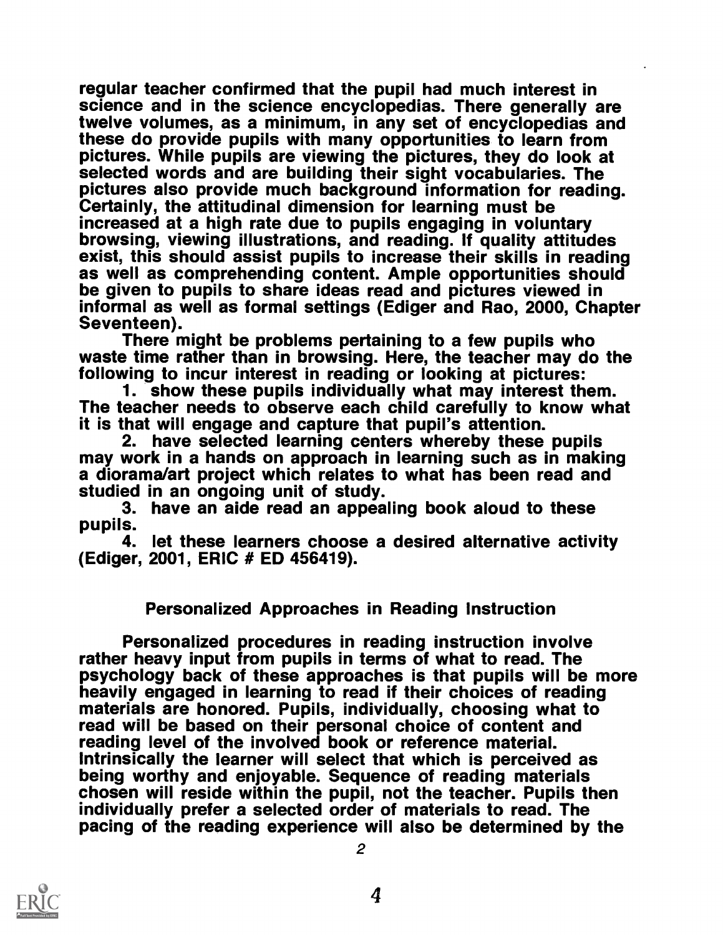regular teacher confirmed that the pupil had much interest in science and in the science encyclopedias. There generally are twelve volumes, as a minimum, in any set of encyclopedias and these do provide pupils with many opportunities to learn from pictures. While pupils are viewing the pictures, they do look at selected words and are building their sight vocabularies. The pictures also provide much background information for reading.<br>Certainly, the attitudinal dimension for learning must be<br>increased at a high rate due to pupils engaging in voluntary browsing, viewing illustrations, and reading. If quality attitudes<br>exist, this should assist pupils to increase their skills in reading as well as comprehending content. Ample opportunities should be given to pupils to share ideas read and pictures viewed in informal as well as formal settings (Ediger and Rao, 2000, Chapter Seventeen). There might be problems pertaining to a few pupils who waste time rather than in browsing. Here, the teacher may do the

following to incur interest in reading or looking at pictures: 1. show these pupils individually what may interest them. The teacher needs to observe each child carefully to know what it is that will engage and capture that pupil's attention.

may work in a hands on approach in learning such as in making<br>a diorama/art project which relates to what has been read and studied in an ongoing unit of study.

3. have an aide read an appealing book aloud to these pupils.

4. let these learners choose a desired alternative activity (Ediger, 2001, ERIC # ED 456419).

### Personalized Approaches in Reading Instruction

Personalized procedures in reading instruction involve rather heavy input from pupils in terms of what to read. The psychology back of these approaches is that pupils will be more heavily engaged in learning to read if their choices of reading materials are honored. Pupils, individually, choosing what to read will be based on their personal choice of content and reading level of the involved book or reference material. Intrinsically the learner will select that which is perceived as<br>being worthy and enjoyable. Sequence of reading materials<br>chosen will reside within the pupil, not the teacher. Pupils then<br>individually prefer a selected or pacing of the reading experience will also be determined by the

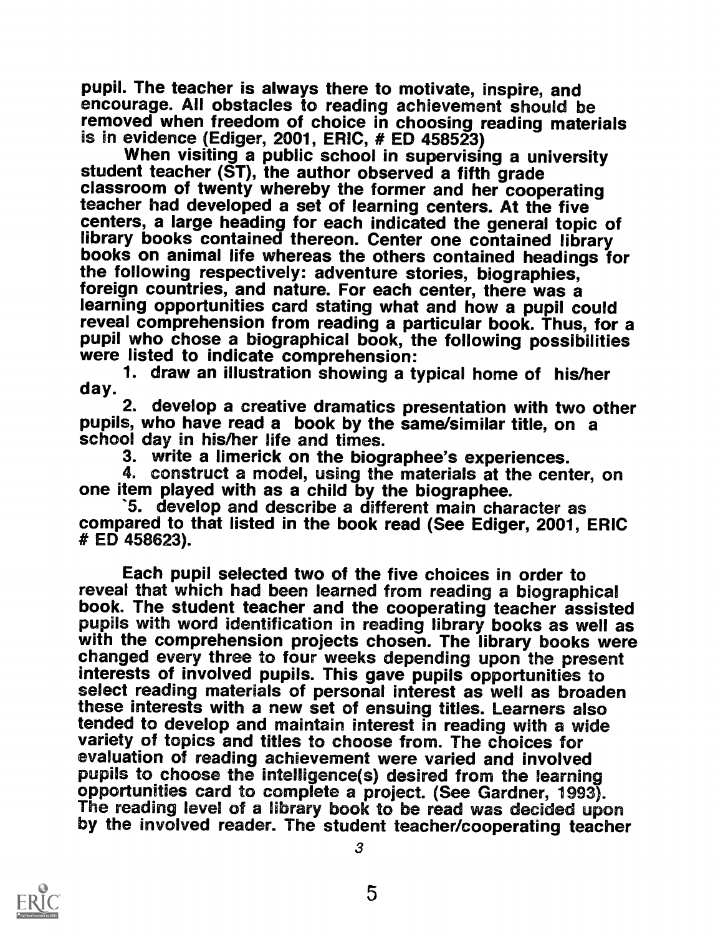pupil. The teacher is always there to motivate, inspire, and encourage. All obstacles to reading achievement should be removed when freedom of choice in choosing reading materials is in evidence (Ediger, 2001, ERIC,  $#$  ED 458523)

When visiting a public school in supervising a university student teacher (ST), the author observed a fifth grade classroom of twenty whereby the former and her cooperating teacher had developed a set of learning centers. At the five centers, a large heading for each indicated the general topic of library books contained thereon. Center one contained library books on animal life whereas the others contained headings for the following respectively: adventure stories, biographies, foreign countries, and nature. For each center, there was a learning opportunities card stating what and how a pupil could reveal comprehension from reading a particular book. Thus, for a pupil who chose a biographical book, the following possibilities<br>were listed to indicate comprehension:<br>1. draw an illustration showing a typical home of his/her<br>day.<br>2. develop a creative dramatics presentation with two o

school day in his/her life and times.

3. write a limerick on the biographee's experiences.

4. construct a model, using the materials at the center, on one item played with as a child by the biographee.

'5. develop and describe a different main character as compared to that listed in the book read (See Ediger, 2001, ERIC # ED 458623).

Each pupil selected two of the five choices in order to<br>reveal that which had been learned from reading a biographical book. The student teacher and the cooperating teacher assisted<br>pupils with word identification in reading library books as well as with the comprehension projects chosen. The library books were changed every three to four weeks depending upon the present interests of involved pupils. This gave pupils opportunities to select reading materials of personal interest as well as broaden these interests with a new set of ensuing titles. Learners also tended to develop and maintain interest in reading with a wide variety of topics and titles to choose from. The choices for evaluation of reading achievement were varied and involved<br>pupils to choose the intelligence(s) desired from the learning<br>opportunities card to complete a project. (See Gardner, 1993). The reading level of a library book to be read was decided upon<br>by the involved reader. The student teacher/cooperating teacher

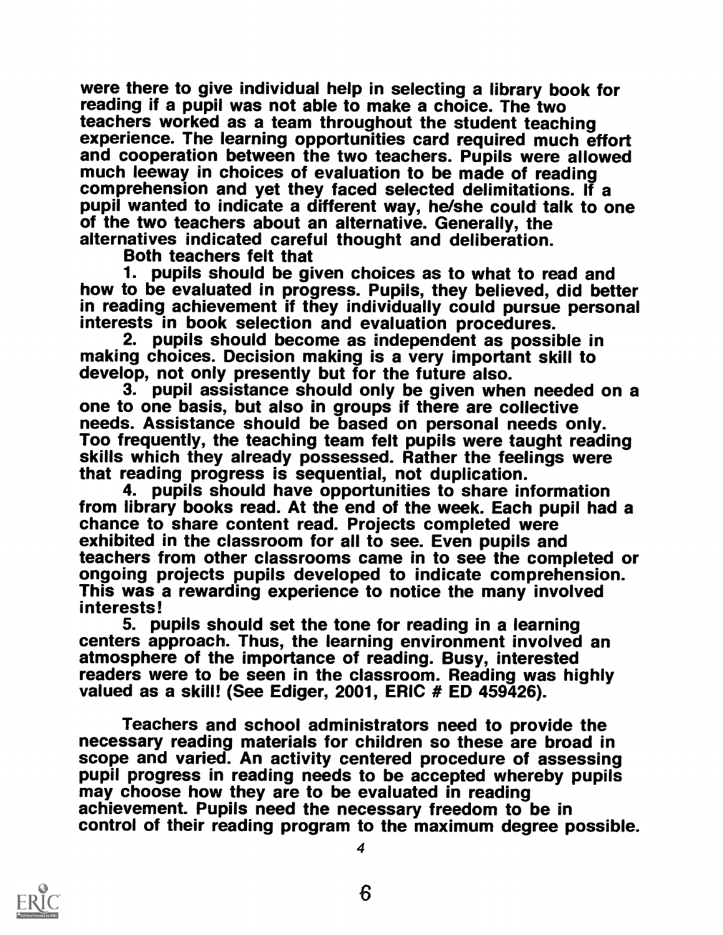were there to give individual help in selecting a library book for reading if a pupil was not able to make a choice. The two teachers worked as a team throughout the student teaching experience. The learning opportunities card required much effort<br>and cooperation between the two teachers. Pupils were allowed<br>much leeway in choices of evaluation to be made of reading comprehension and yet they faced selected delimitations. If a pupil wanted to indicate a different way, he/she could talk to one<br>of the two teachers about an alternative. Generally, the alternatives indicated careful thought and deliberation.<br>Both teachers felt that

1. pupils should be given choices as to what to read and how to be evaluated in progress. Pupils, they believed, did better in reading achievement if they individually could pursue personal interests in book selection and evaluation procedures.

2. pupils should become as independent as possible in making choices. Decision making is a very important skill to develop, not only presently but for the future also.

3. pupil assistance should only be given when needed on a<br>one to one basis, but also in groups if there are collective<br>needs. Assistance should be based on personal needs only. Too frequently, the teaching team felt pupils were taught reading skills which they already possessed. Rather the feelings were that reading progress is sequential, not duplication.

4. pupils should have opportunities to share information from library books read. At the end of the week. Each pupil had a chance to share content read. Projects completed were exhibited in the classroom for all to see. Even pupils and<br>teachers from other classrooms came in to see the completed or ongoing projects pupils developed to indicate comprehension.<br>This was a rewarding experience to notice the many involved interests!

5. pupils should set the tone for reading in a learning atmosphere of the importance of reading. Busy, interested readers were to be seen in the classroom. Reading was highly valued as a skill! (See Ediger, 2001, ERIC # ED 459426).

Teachers and school administrators need to provide the necessary reading materials for children so these are broad in scope and varied. An activity centered procedure of assessing pupil progress in reading needs to be accepted whereby pupils may choose how they are to be evaluated in reading achievement. Pupils need the necessary freedom to be in control of their reading program to the maximum degree possible.

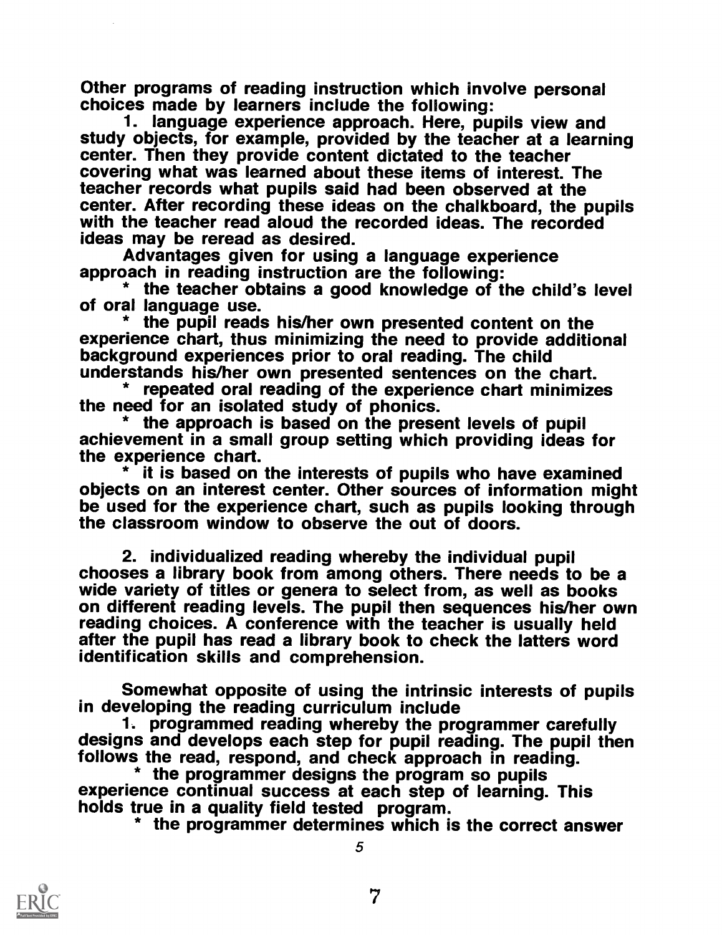Other programs of reading instruction which involve personal choices made by learners include the following:

1. language experience approach. Here, pupils view and study objects, for example, provided by the teacher at a learning<br>center. Then they provide content dictated to the teacher covering what was learned about these items of interest. The teacher records what pupils said had been observed at the center. After recording these ideas on the chalkboard, the pupils with the teacher read aloud the recorded ideas. The recorded ideas may be reread as desired.

Advantages given for using a language experience<br>approach in reading instruction are the following:

\* the teacher obtains a good knowledge of the child's level<br>of oral language use.<br>\* the pupil reads his/her own presented content on the

experience chart, thus minimizing the need to provide additional<br>background experiences prior to oral reading. The child<br>understands his/her own presented sentences on the chart.<br>\* repeated oral reading of the experience c

the need for an isolated study of phonics.<br>\* the approach is based on the present levels of pupil achievement in a small group setting which providing ideas for the experience chart.<br>\* it is based on the interests of pupils who have examined

objects on an interest center. Other sources of information might<br>be used for the experience chart, such as pupils looking through the classroom window to observe the out of doors.

2. individualized reading whereby the individual pupil<br>chooses a library book from among others. There needs to be a<br>wide variety of titles or genera to select from, as well as books<br>on different reading levels. The pupil reading choices. A conference with the teacher is usually held after the pupil has read a library book to check the latters word identification skills and comprehension.

Somewhat opposite of using the intrinsic interests of pupils in developing the reading curriculum include<br>1. programmed reading whereby the programmer carefully

designs and develops each step for pupil reading. The pupil then<br>follows the read, respond, and check approach in reading.

\* the programmer designs the program so pupils<br>experience continual success at each step of learning. This<br>holds true in a quality field tested program.<br>\* the programmer determines which is the correct answer

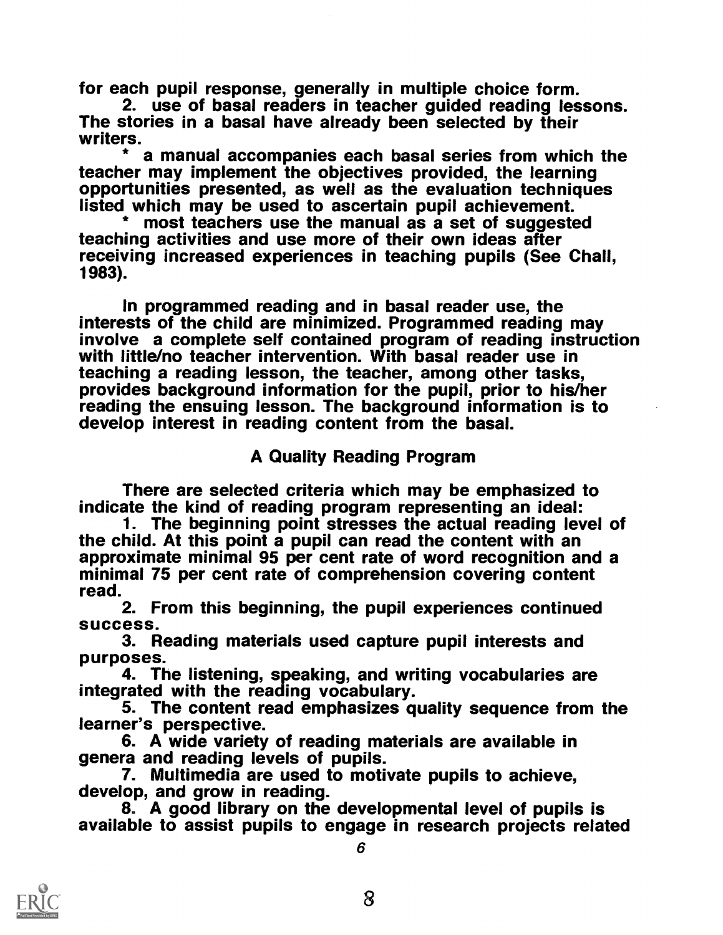for each pupil response, generally in multiple choice form. The stories in a basal have already been selected by their<br>writers.

\* a manual accompanies each basal series from which the teacher may implement the objectives provided, the learning opportunities presented, as well as the evaluation techniques listed which may be used to ascertain pupil achievement. \* most teachers use the manual as a set of suggested

teaching activities and use more of their own ideas after receiving increased experiences in teaching pupils (See Chall, 1983).

In programmed reading and in basal reader use, the interests of the child are minimized. Programmed reading may<br>involve a complete self contained program of reading instruction with little/no teacher intervention. With basal reader use in teaching a reading lesson, the teacher, among other tasks, provides background information for the pupil, prior to his/her reading the ensuing lesson. The background information is to develop interest in reading content from the basal.

A Quality Reading Program

There are selected criteria which may be emphasized to indicate the kind of reading program representing an ideal:

1. The beginning point stresses the actual reading level of the child. At this point a pupil can read the content with an approximate minimal 95 per cent rate of word recognition and a minimal 75 per cent rate of comprehension covering content read.

2. From this beginning, the pupil experiences continued success.

3. Reading materials used capture pupil interests and

 $\frac{1}{2}$  4. The listening, speaking, and writing vocabularies are integrated with the reading vocabulary.

5. The content read emphasizes quality sequence from the learner's perspective.

6. A wide variety of reading materials are available in genera and reading levels of pupils.<br>7. Multimedia are used to motivate pupils to achieve,

develop, and grow in reading.<br>8. A good library on the developmental level of pupils is <br>available to assist pupils to engage in research projects related

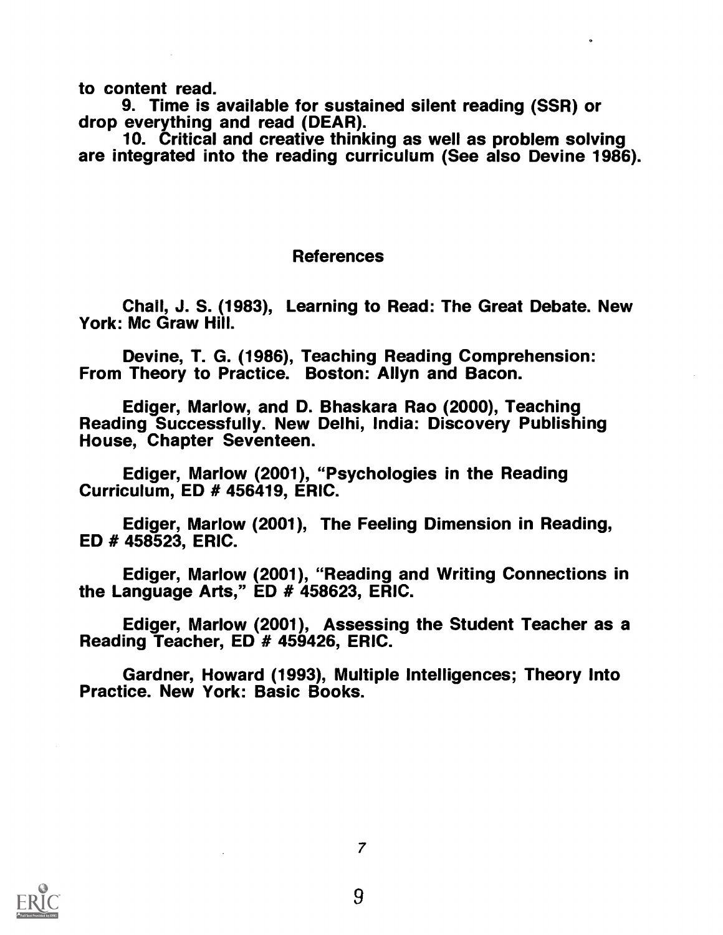to content read.<br>9. Time is available for sustained silent reading (SSR) or drop everything and read (DEAR).<br>10. Critical and creative thinking as well as problem solving

are integrated into the reading curriculum (See also Devine 1986).

### References

Chall, J. S. (1983), Learning to Read: The Great Debate. New York: Mc Graw Hill.

Devine, T. G. (1986), Teaching Reading Comprehension: From Theory to Practice. Boston: Allyn and Bacon.

Ediger, Marlow, and D. Bhaskara Rao (2000), Teaching Reading Successfully. New Delhi, India: Discovery Publishing House, Chapter Seventeen.

Ediger, Marlow (2001), "Psychologies in the Reading Curriculum, ED # 456419, ERIC.

Ediger, Marlow (2001), The Feeling Dimension in Reading, ED # 458523, ERIC.

Ediger, Marlow (2001), "Reading and Writing Connections in the Language Arts," ED # 458623, ERIC.

Ediger, Marlow (2001), Assessing the Student Teacher as a Reading Teacher, ED # 459426, ERIC.

Gardner, Howard (1993), Multiple Intelligences; Theory Into Practice. New York: Basic Books.

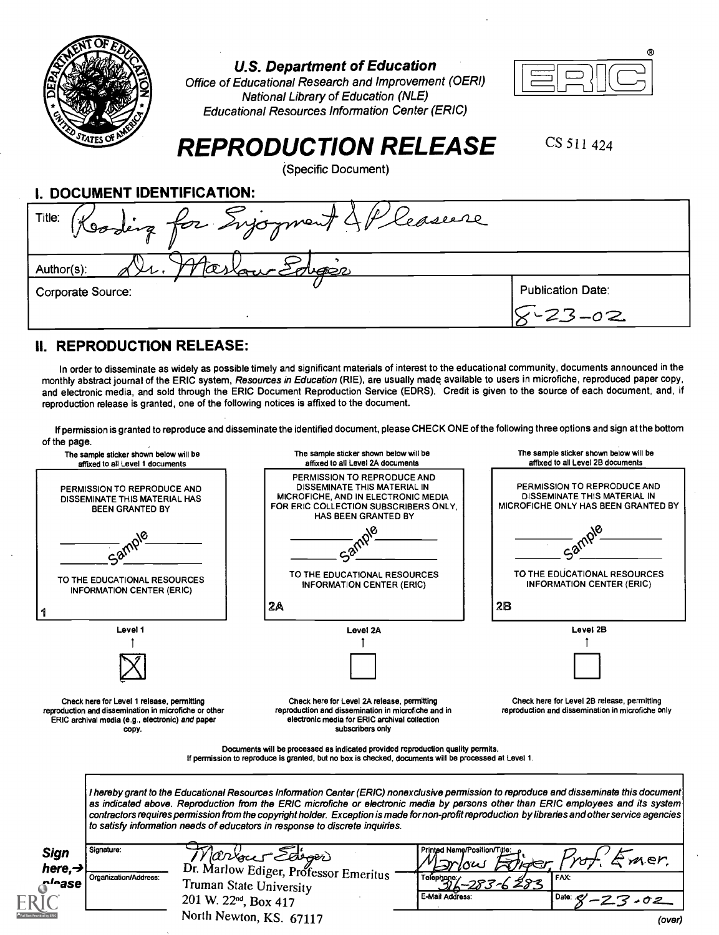| EN) | OFEDT                   |  |
|-----|-------------------------|--|
|     |                         |  |
|     |                         |  |
|     |                         |  |
|     |                         |  |
|     | <b>ED STATES OF AME</b> |  |

U.S. Department of Education

Office of Educational Research and Improvement (OERI) National Library of Education (NLE) Educational Resources Information Center (ERIC)



# REPRODUCTION RELEASE

(Specific Document)

CS 511 424

I. DOCUMENT IDENTIFICATION: Title: Evjoyment & P leasure Author(s): Corporate Source: Publication Date: W-23 -O2

#### II. REPRODUCTION RELEASE:

In order to disseminate as widely as possible timely and significant materials of interest to the educational community, documents announced in the monthly abstract journal of the ERIC system, Resources in Education (RIE), are usually made available to users in microfiche, reproduced paper copy, and electronic media, and sold through the ERIC Document Reproduction Service (EDRS). Credit is given to the source of each document, and, if reproduction release is granted, one of the following notices is affixed to the document.

If permission is granted to reproduce and disseminate the identified document, please CHECK ONE of the following three options and sign at the bottom

| of the page.<br>The sample sticker shown below will be                                                                                                           |                                   | The sample sticker shown below will be                                                                                                                                                                         | The sample sticker shown below will be                                                                                                                                                                                                                                                                                                                                                                                            |
|------------------------------------------------------------------------------------------------------------------------------------------------------------------|-----------------------------------|----------------------------------------------------------------------------------------------------------------------------------------------------------------------------------------------------------------|-----------------------------------------------------------------------------------------------------------------------------------------------------------------------------------------------------------------------------------------------------------------------------------------------------------------------------------------------------------------------------------------------------------------------------------|
| affixed to all Level 1 documents<br>PERMISSION TO REPRODUCE AND<br>DISSEMINATE THIS MATERIAL HAS<br><b>BEEN GRANTED BY</b>                                       |                                   | affixed to all Level 2A documents<br>PERMISSION TO REPRODUCE AND<br>DISSEMINATE THIS MATERIAL IN<br>MICROFICHE, AND IN ELECTRONIC MEDIA<br>FOR ERIC COLLECTION SUBSCRIBERS ONLY.<br><b>HAS BEEN GRANTED BY</b> | affixed to all Level 2B documents<br>PERMISSION TO REPRODUCE AND<br>DISSEMINATE THIS MATERIAL IN<br><b>MICROFICHE ONLY HAS BEEN GRANTED BY</b>                                                                                                                                                                                                                                                                                    |
|                                                                                                                                                                  |                                   |                                                                                                                                                                                                                |                                                                                                                                                                                                                                                                                                                                                                                                                                   |
| TO THE EDUCATIONAL RESOURCES<br><b>INFORMATION CENTER (ERIC)</b>                                                                                                 |                                   | TO THE EDUCATIONAL RESOURCES<br><b>INFORMATION CENTER (ERIC)</b>                                                                                                                                               | TO THE EDUCATIONAL RESOURCES<br><b>INFORMATION CENTER (ERIC)</b>                                                                                                                                                                                                                                                                                                                                                                  |
|                                                                                                                                                                  |                                   | 2A                                                                                                                                                                                                             | 28                                                                                                                                                                                                                                                                                                                                                                                                                                |
| Level 1                                                                                                                                                          |                                   | Level 2A                                                                                                                                                                                                       | Level 2B                                                                                                                                                                                                                                                                                                                                                                                                                          |
|                                                                                                                                                                  |                                   |                                                                                                                                                                                                                |                                                                                                                                                                                                                                                                                                                                                                                                                                   |
|                                                                                                                                                                  |                                   |                                                                                                                                                                                                                |                                                                                                                                                                                                                                                                                                                                                                                                                                   |
| Check here for Level 1 release, permitting<br>reproduction and dissemination in microfiche or other<br>ERIC archival media (e.g., electronic) and paper<br>copy. |                                   | Check here for Level 2A release, permitting<br>reproduction and dissemination in microfiche and in<br>electronic media for ERIC archival collection<br>subscribers only                                        | Check here for Level 2B release, permitting<br>reproduction and dissemination in microfiche only                                                                                                                                                                                                                                                                                                                                  |
|                                                                                                                                                                  |                                   | Documents will be processed as indicated provided reproduction quality permits.<br>If permission to reproduce is granted, but no box is checked, documents will be processed at Level 1.                       |                                                                                                                                                                                                                                                                                                                                                                                                                                   |
|                                                                                                                                                                  |                                   | to satisfy information needs of educators in response to discrete inquiries.                                                                                                                                   | I hereby grant to the Educational Resources Information Center (ERIC) nonexclusive permission to reproduce and disseminate this document<br>as indicated above. Reproduction from the ERIC microfiche or electronic media by persons other than ERIC employees and its system<br>contractors requires permission from the copyright holder. Exception is made for non-profit reproduction by libraries and other service agencies |
| Signature:<br>Sign                                                                                                                                               |                                   | Warrace Edigor                                                                                                                                                                                                 | Printed Name/Position/Title:<br>mer.                                                                                                                                                                                                                                                                                                                                                                                              |
| here, $\rightarrow$<br>Organization/Address:<br>r'≏ase                                                                                                           |                                   | Dr. Marlow Ediger, Professor Emeritus                                                                                                                                                                          | FAX:                                                                                                                                                                                                                                                                                                                                                                                                                              |
|                                                                                                                                                                  | 201 W. 22 <sup>nd</sup> , Box 417 | Truman State University                                                                                                                                                                                        | E-Mail Address:<br>Date: $8' - 23$                                                                                                                                                                                                                                                                                                                                                                                                |
|                                                                                                                                                                  |                                   | North Newton, KS. 67117                                                                                                                                                                                        |                                                                                                                                                                                                                                                                                                                                                                                                                                   |
|                                                                                                                                                                  |                                   |                                                                                                                                                                                                                | (over)                                                                                                                                                                                                                                                                                                                                                                                                                            |